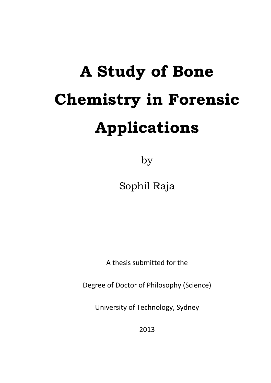# **A Study of Bone Chemistry in Forensic Applications**

by

Sophil Raja

A thesis submitted for the

Degree of Doctor of Philosophy (Science)

University of Technology, Sydney

2013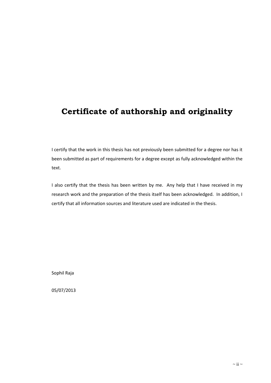## **Certificate of authorship and originality**

I certify that the work in this thesis has not previously been submitted for a degree nor has it been submitted as part of requirements for a degree except as fully acknowledged within the text.

I also certify that the thesis has been written by me. Any help that I have received in my research work and the preparation of the thesis itself has been acknowledged. In addition, I certify that all information sources and literature used are indicated in the thesis.

Sophil Raja

05/07/2013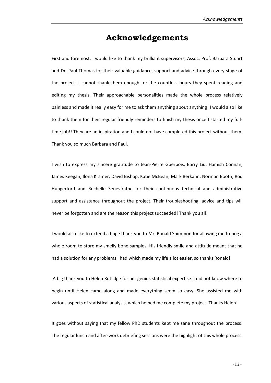### **Acknowledgements**

First and foremost, I would like to thank my brilliant supervisors, Assoc. Prof. Barbara Stuart and Dr. Paul Thomas for their valuable guidance, support and advice through every stage of the project. I cannot thank them enough for the countless hours they spent reading and editing my thesis. Their approachable personalities made the whole process relatively painless and made it really easy for me to ask them anything about anything! I would also like to thank them for their regular friendly reminders to finish my thesis once I started my fulltime job!! They are an inspiration and I could not have completed this project without them. Thank you so much Barbara and Paul.

I wish to express my sincere gratitude to Jean-Pierre Guerbois, Barry Liu, Hamish Connan, James Keegan, Ilona Kramer, David Bishop, Katie McBean, Mark Berkahn, Norman Booth, Rod Hungerford and Rochelle Seneviratne for their continuous technical and administrative support and assistance throughout the project. Their troubleshooting, advice and tips will never be forgotten and are the reason this project succeeded! Thank you all!

I would also like to extend a huge thank you to Mr. Ronald Shimmon for allowing me to hog a whole room to store my smelly bone samples. His friendly smile and attitude meant that he had a solution for any problems I had which made my life a lot easier, so thanks Ronald!

A big thank you to Helen Rutlidge for her genius statistical expertise. I did not know where to begin until Helen came along and made everything seem so easy. She assisted me with various aspects of statistical analysis, which helped me complete my project. Thanks Helen!

It goes without saying that my fellow PhD students kept me sane throughout the process! The regular lunch and after-work debriefing sessions were the highlight of this whole process.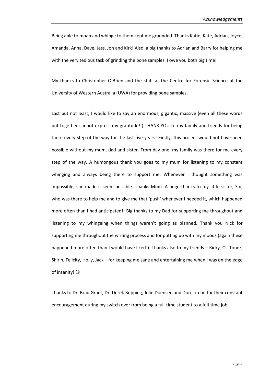Being able to moan and whinge to them kept me grounded. Thanks Katie, Kate, Adrian, Joyce, Amanda, Anna, Dave, Jess, Joh and Kirk! Also, a big thanks to Adrian and Barry for helping me with the very tedious task of grinding the bone samples. I owe you both big time!

My thanks to Christopher O'Brien and the staff at the Centre for Forensic Science at the University of Western Australia (UWA) for providing bone samples.

Last but not least, I would like to say an enormous, gigantic, massive (even all these words put together cannot express my gratitude!!) THANK YOU to my family and friends for being there every step of the way for the last five years! Firstly, this project would not have been possible without my mum, dad and sister. From day one, my family was there for me every step of the way. A humongous thank you goes to my mum for listening to my constant whinging and always being there to support me. Whenever I thought something was impossible, she made it seem possible. Thanks Mum. A huge thanks to my little sister, Soi, who was there to help me and to give me that 'push' whenever I needed it, which happened more often than I had anticipated!! Big thanks to my Dad for supporting me throughout and listening to my whingeing when things weren't going as planned. Thank you Nick for supporting me throughout the writing process and for putting up with my moods (again these happened more often than I would have liked!). Thanks also to my friends – Ricky, CJ, Tonez, Shirin, Felicity, Holly, Jack – for keeping me sane and entertaining me when I was on the edge of insanity!

Thanks to Dr. Brad Grant, Dr. Derek Bopping, Julie Doensen and Don Jordan for their constant encouragement during my switch over from being a full-time student to a full-time job.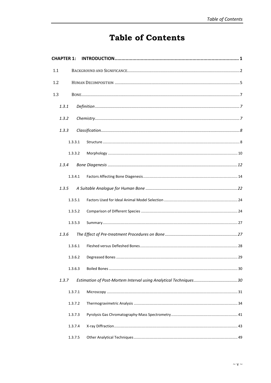# **Table of Contents**

| <b>CHAPTER 1:</b> |  |
|-------------------|--|
| 1.1               |  |
| 1.2               |  |
| 1.3               |  |
| 1.3.1             |  |
| 1.3.2             |  |
| 1.3.3             |  |
| 1.3.3.1           |  |
| 1.3.3.2           |  |
| 1.3.4             |  |
| 1.3.4.1           |  |
| 1.3.5             |  |
| 1.3.5.1           |  |
| 1.3.5.2           |  |
| 1.3.5.3           |  |
| 1.3.6             |  |
| 1.3.6.1           |  |
| 1.3.6.2           |  |
| 1.3.6.3           |  |
| 1.3.7             |  |
| 1.3.7.1           |  |
| 1.3.7.2           |  |
| 1.3.7.3           |  |
| 1.3.7.4           |  |
| 1.3.7.5           |  |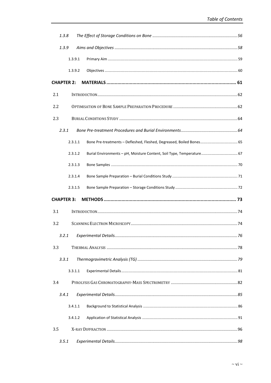| 1.3.8             |         |                                                                       |    |
|-------------------|---------|-----------------------------------------------------------------------|----|
| 1.3.9             |         |                                                                       |    |
|                   | 1.3.9.1 |                                                                       |    |
|                   | 1.3.9.2 |                                                                       |    |
| <b>CHAPTER 2:</b> |         |                                                                       |    |
| 2.1               |         |                                                                       |    |
| 2.2               |         |                                                                       |    |
| 2.3               |         |                                                                       |    |
| 2.3.1             |         |                                                                       |    |
|                   | 2.3.1.1 | Bone Pre-treatments - Defleshed, Fleshed, Degreased, Boiled Bones 65  |    |
|                   | 2.3.1.2 | Burial Environments - pH, Moisture Content, Soil Type, Temperature 67 |    |
|                   | 2.3.1.3 |                                                                       |    |
|                   | 2.3.1.4 |                                                                       |    |
|                   | 2.3.1.5 |                                                                       |    |
| <b>CHAPTER 3:</b> |         |                                                                       |    |
| 3.1               |         |                                                                       |    |
| 3.2               |         |                                                                       |    |
|                   |         | 3.2.1 Experimental Details                                            | 76 |
| 3.3               |         |                                                                       |    |
| 3.3.1             |         |                                                                       |    |
|                   | 3.3.1.1 |                                                                       |    |
| 3.4               |         |                                                                       |    |
| 3.4.1             |         |                                                                       |    |
|                   | 3.4.1.1 |                                                                       |    |
|                   | 3.4.1.2 |                                                                       |    |
| 3.5               |         |                                                                       |    |
| 3.5.1             |         |                                                                       |    |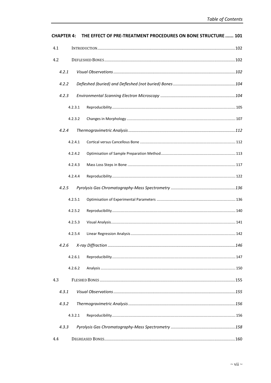| <b>CHAPTER 4:</b> |         | THE EFFECT OF PRE-TREATMENT PROCEDURES ON BONE STRUCTURE  101 |  |
|-------------------|---------|---------------------------------------------------------------|--|
| 4.1               |         |                                                               |  |
| 4.2               |         |                                                               |  |
| 4.2.1             |         |                                                               |  |
| 4.2.2             |         |                                                               |  |
| 4.2.3             |         |                                                               |  |
|                   | 4.2.3.1 |                                                               |  |
|                   | 4.2.3.2 |                                                               |  |
| 4.2.4             |         |                                                               |  |
|                   | 4.2.4.1 |                                                               |  |
|                   | 4.2.4.2 |                                                               |  |
|                   | 4.2.4.3 |                                                               |  |
|                   | 4.2.4.4 |                                                               |  |
| 4.2.5             |         |                                                               |  |
|                   | 4.2.5.1 |                                                               |  |
|                   | 4.2.5.2 |                                                               |  |
|                   | 4.2.5.3 |                                                               |  |
|                   | 4.2.5.4 |                                                               |  |
| 4.2.6             |         |                                                               |  |
|                   | 4.2.6.1 |                                                               |  |
|                   | 4.2.6.2 |                                                               |  |
| 4.3               |         |                                                               |  |
| 4.3.1             |         |                                                               |  |
| 4.3.2             |         |                                                               |  |
|                   | 4.3.2.1 |                                                               |  |
| 4.3.3             |         |                                                               |  |
| 4.4               |         |                                                               |  |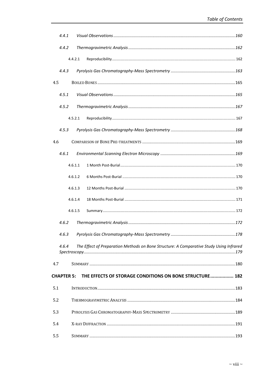| 4.4.1             |                                                                                         |       |
|-------------------|-----------------------------------------------------------------------------------------|-------|
| 4.4.2             |                                                                                         |       |
|                   | 4.4.2.1                                                                                 |       |
| 4.4.3             |                                                                                         |       |
| 4.5               |                                                                                         |       |
| 4.5.1             |                                                                                         |       |
| 4.5.2             |                                                                                         |       |
|                   | 4.5.2.1                                                                                 |       |
| 4.5.3             |                                                                                         |       |
| 4.6               |                                                                                         |       |
| 4.6.1             |                                                                                         |       |
|                   | 4.6.1.1                                                                                 |       |
|                   | 4.6.1.2                                                                                 |       |
|                   | 4.6.1.3                                                                                 |       |
|                   | 4.6.1.4                                                                                 |       |
|                   | 4.6.1.5                                                                                 |       |
| 4.6.2             |                                                                                         |       |
| 4.6.3             | Pyrolysis Gas Chromatography-Mass Spectrometry                                          | . 178 |
| 4.6.4             | The Effect of Preparation Methods on Bone Structure: A Comparative Study Using Infrared |       |
| 4.7               |                                                                                         |       |
| <b>CHAPTER 5:</b> | THE EFFECTS OF STORAGE CONDITIONS ON BONE STRUCTURE 182                                 |       |
| 5.1               |                                                                                         |       |
| 5.2               |                                                                                         |       |
| 5.3               |                                                                                         |       |
| 5.4               |                                                                                         |       |
| 5.5               |                                                                                         |       |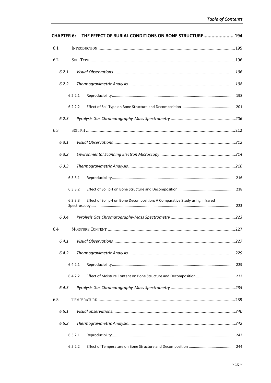| <b>CHAPTER 6:</b> | THE EFFECT OF BURIAL CONDITIONS ON BONE STRUCTURE 194                                  |  |
|-------------------|----------------------------------------------------------------------------------------|--|
| 6.1               |                                                                                        |  |
| 6.2               |                                                                                        |  |
| 6.2.1             |                                                                                        |  |
| 6.2.2             |                                                                                        |  |
|                   | 6.2.2.1                                                                                |  |
|                   | 6.2.2.2                                                                                |  |
| 6.2.3             |                                                                                        |  |
| 6.3               |                                                                                        |  |
| 6.3.1             |                                                                                        |  |
| 6.3.2             |                                                                                        |  |
| 6.3.3             |                                                                                        |  |
|                   | 6.3.3.1                                                                                |  |
|                   | 6.3.3.2                                                                                |  |
|                   | Effect of Soil pH on Bone Decomposition: A Comparative Study using Infrared<br>6.3.3.3 |  |
| 6.3.4             |                                                                                        |  |
| 6.4               |                                                                                        |  |
| 6.4.1             |                                                                                        |  |
| 6.4.2             |                                                                                        |  |
|                   | 6.4.2.1                                                                                |  |
|                   | 6.4.2.2                                                                                |  |
| 6.4.3             |                                                                                        |  |
| 6.5               |                                                                                        |  |
|                   |                                                                                        |  |
| 6.5.1             |                                                                                        |  |
| 6.5.2             |                                                                                        |  |
|                   | 6.5.2.1                                                                                |  |
|                   | 6.5.2.2                                                                                |  |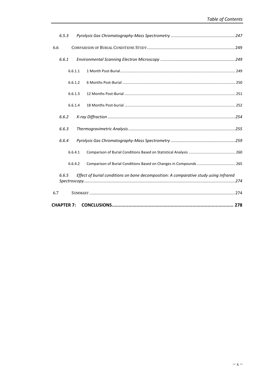| 6.5.3             |         |                                                                                       |  |
|-------------------|---------|---------------------------------------------------------------------------------------|--|
| 6.6               |         |                                                                                       |  |
| 6.6.1             |         |                                                                                       |  |
|                   | 6.6.1.1 |                                                                                       |  |
|                   | 6.6.1.2 |                                                                                       |  |
|                   | 6.6.1.3 |                                                                                       |  |
|                   | 6.6.1.4 |                                                                                       |  |
| 6.6.2             |         |                                                                                       |  |
| 6.6.3             |         |                                                                                       |  |
| 6.6.4             |         |                                                                                       |  |
|                   | 6.6.4.1 |                                                                                       |  |
|                   | 6.6.4.2 |                                                                                       |  |
| 6.6.5             |         | Effect of burial conditions on bone decomposition: A comparative study using Infrared |  |
| 6.7               |         |                                                                                       |  |
| <b>CHAPTER 7:</b> |         |                                                                                       |  |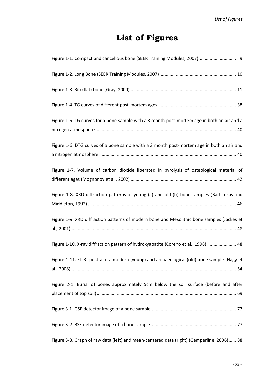# **List of Figures**

| Figure 1-1. Compact and cancellous bone (SEER Training Modules, 2007) 9                     |
|---------------------------------------------------------------------------------------------|
|                                                                                             |
|                                                                                             |
|                                                                                             |
| Figure 1-5. TG curves for a bone sample with a 3 month post-mortem age in both an air and a |
| Figure 1-6. DTG curves of a bone sample with a 3 month post-mortem age in both an air and   |
| Figure 1-7. Volume of carbon dioxide liberated in pyrolysis of osteological material of     |
| Figure 1-8. XRD diffraction patterns of young (a) and old (b) bone samples (Bartsiokas and  |
| Figure 1-9. XRD diffraction patterns of modern bone and Mesolithic bone samples (Jackes et  |
| Figure 1-10. X-ray diffraction pattern of hydroxyapatite (Coreno et al., 1998)  48          |
| Figure 1-11. FTIR spectra of a modern (young) and archaeological (old) bone sample (Nagy et |
| Figure 2-1. Burial of bones approximately 5cm below the soil surface (before and after      |
|                                                                                             |
|                                                                                             |
| Figure 3-3. Graph of raw data (left) and mean-centered data (right) (Gemperline, 2006) 88   |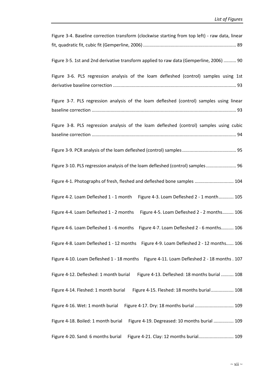| Figure 3-4. Baseline correction transform (clockwise starting from top left) - raw data, linear |
|-------------------------------------------------------------------------------------------------|
|                                                                                                 |
|                                                                                                 |
| Figure 3-5. 1st and 2nd derivative transform applied to raw data (Gemperline, 2006)  90         |
| Figure 3-6. PLS regression analysis of the loam defleshed (control) samples using 1st           |
|                                                                                                 |
| Figure 3-7. PLS regression analysis of the loam defleshed (control) samples using linear        |
|                                                                                                 |
|                                                                                                 |
| Figure 3-8. PLS regression analysis of the loam defleshed (control) samples using cubic         |
|                                                                                                 |
|                                                                                                 |
|                                                                                                 |
|                                                                                                 |
| Figure 3-10. PLS regression analysis of the loam defleshed (control) samples 96                 |
|                                                                                                 |
| Figure 4-1. Photographs of fresh, fleshed and defleshed bone samples  104                       |
|                                                                                                 |
| Figure 4-2. Loam Defleshed 1 - 1 month Figure 4-3. Loam Defleshed 2 - 1 month 105               |
|                                                                                                 |
| Figure 4-4. Loam Defleshed 1 - 2 months<br>Figure 4-5. Loam Defleshed 2 - 2 months 106          |
|                                                                                                 |
| Figure 4-6. Loam Defleshed 1 - 6 months<br>Figure 4-7. Loam Defleshed 2 - 6 months 106          |
| Figure 4-8. Loam Defleshed 1 - 12 months Figure 4-9. Loam Defleshed 2 - 12 months 106           |
|                                                                                                 |
| Figure 4-11. Loam Defleshed 2 - 18 months . 107<br>Figure 4-10. Loam Defleshed 1 - 18 months    |
|                                                                                                 |
| Figure 4-12. Defleshed: 1 month burial<br>Figure 4-13. Defleshed: 18 months burial  108         |
|                                                                                                 |
| Figure 4-15. Fleshed: 18 months burial 108<br>Figure 4-14. Fleshed: 1 month burial              |
|                                                                                                 |
| Figure 4-17. Dry: 18 months burial  109<br>Figure 4-16. Wet: 1 month burial                     |
|                                                                                                 |
| Figure 4-18. Boiled: 1 month burial<br>Figure 4-19. Degreased: 10 months burial  109            |
|                                                                                                 |
| Figure 4-20. Sand: 6 months burial<br>Figure 4-21. Clay: 12 months burial 109                   |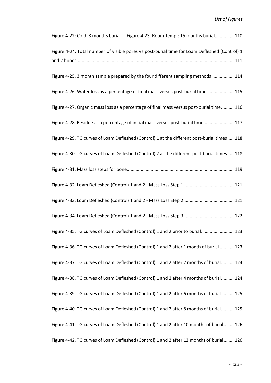| Figure 4-22: Cold: 8 months burial Figure 4-23. Room-temp.: 15 months burial 110              |
|-----------------------------------------------------------------------------------------------|
| Figure 4-24. Total number of visible pores vs post-burial time for Loam Defleshed (Control) 1 |
|                                                                                               |
| Figure 4-25. 3 month sample prepared by the four different sampling methods  114              |
| Figure 4-26. Water loss as a percentage of final mass versus post-burial time  115            |
| Figure 4-27. Organic mass loss as a percentage of final mass versus post-burial time 116      |
| Figure 4-28. Residue as a percentage of initial mass versus post-burial time 117              |
| Figure 4-29. TG curves of Loam Defleshed (Control) 1 at the different post-burial times 118   |
| Figure 4-30. TG curves of Loam Defleshed (Control) 2 at the different post-burial times 118   |
|                                                                                               |
|                                                                                               |
|                                                                                               |
|                                                                                               |
| Figure 4-35. TG curves of Loam Defleshed (Control) 1 and 2 prior to burial 123                |
| Figure 4-36. TG curves of Loam Defleshed (Control) 1 and 2 after 1 month of burial  123       |
| Figure 4-37. TG curves of Loam Defleshed (Control) 1 and 2 after 2 months of burial 124       |
| Figure 4-38. TG curves of Loam Defleshed (Control) 1 and 2 after 4 months of burial 124       |
| Figure 4-39. TG curves of Loam Defleshed (Control) 1 and 2 after 6 months of burial  125      |
| Figure 4-40. TG curves of Loam Defleshed (Control) 1 and 2 after 8 months of burial 125       |
| Figure 4-41. TG curves of Loam Defleshed (Control) 1 and 2 after 10 months of burial 126      |
| Figure 4-42. TG curves of Loam Defleshed (Control) 1 and 2 after 12 months of burial 126      |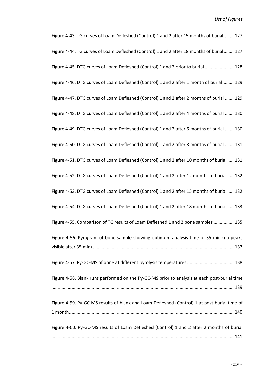| Figure 4-43. TG curves of Loam Defleshed (Control) 1 and 2 after 15 months of burial 127     |
|----------------------------------------------------------------------------------------------|
| Figure 4-44. TG curves of Loam Defleshed (Control) 1 and 2 after 18 months of burial 127     |
| Figure 4-45. DTG curves of Loam Defleshed (Control) 1 and 2 prior to burial  128             |
| Figure 4-46. DTG curves of Loam Defleshed (Control) 1 and 2 after 1 month of burial 129      |
| Figure 4-47. DTG curves of Loam Defleshed (Control) 1 and 2 after 2 months of burial  129    |
| Figure 4-48. DTG curves of Loam Defleshed (Control) 1 and 2 after 4 months of burial  130    |
| Figure 4-49. DTG curves of Loam Defleshed (Control) 1 and 2 after 6 months of burial  130    |
| Figure 4-50. DTG curves of Loam Defleshed (Control) 1 and 2 after 8 months of burial  131    |
| Figure 4-51. DTG curves of Loam Defleshed (Control) 1 and 2 after 10 months of burial  131   |
| Figure 4-52. DTG curves of Loam Defleshed (Control) 1 and 2 after 12 months of burial  132   |
| Figure 4-53. DTG curves of Loam Defleshed (Control) 1 and 2 after 15 months of burial  132   |
| Figure 4-54. DTG curves of Loam Defleshed (Control) 1 and 2 after 18 months of burial  133   |
| Figure 4-55. Comparison of TG results of Loam Defleshed 1 and 2 bone samples  135            |
| Figure 4-56. Pyrogram of bone sample showing optimum analysis time of 35 min (no peaks       |
| Figure 4-57. Py-GC-MS of bone at different pyrolysis temperatures  138                       |
| Figure 4-58. Blank runs performed on the Py-GC-MS prior to analysis at each post-burial time |
| Figure 4-59. Py-GC-MS results of blank and Loam Defleshed (Control) 1 at post-burial time of |
| Figure 4-60. Py-GC-MS results of Loam Defleshed (Control) 1 and 2 after 2 months of burial   |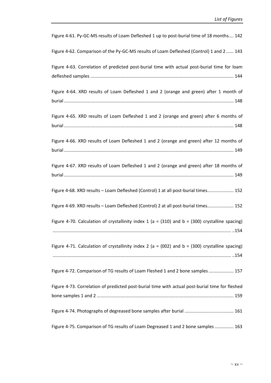| Figure 4-61. Py-GC-MS results of Loam Defleshed 1 up to post-burial time of 18 months 142            |
|------------------------------------------------------------------------------------------------------|
| Figure 4-62. Comparison of the Py-GC-MS results of Loam Defleshed (Control) 1 and 2  143             |
| Figure 4-63. Correlation of predicted post-burial time with actual post-burial time for loam         |
| Figure 4-64. XRD results of Loam Defleshed 1 and 2 (orange and green) after 1 month of               |
| Figure 4-65. XRD results of Loam Defleshed 1 and 2 (orange and green) after 6 months of              |
| Figure 4-66. XRD results of Loam Defleshed 1 and 2 (orange and green) after 12 months of             |
| Figure 4-67. XRD results of Loam Defleshed 1 and 2 (orange and green) after 18 months of             |
| Figure 4-68. XRD results - Loam Defleshed (Control) 1 at all post-burial times 152                   |
| Figure 4-69. XRD results - Loam Defleshed (Control) 2 at all post-burial times 152                   |
| Figure 4-70. Calculation of crystallinity index 1 (a = $(310)$ and b = $(300)$ crystalline spacing)  |
| Figure 4-71. Calculation of crystallinity index 2 ( $a = (002)$ and $b = (300)$ crystalline spacing) |
| Figure 4-72. Comparison of TG results of Loam Fleshed 1 and 2 bone samples  157                      |
| Figure 4-73. Correlation of predicted post-burial time with actual post-burial time for fleshed      |
|                                                                                                      |
| Figure 4-75. Comparison of TG results of Loam Degreased 1 and 2 bone samples  163                    |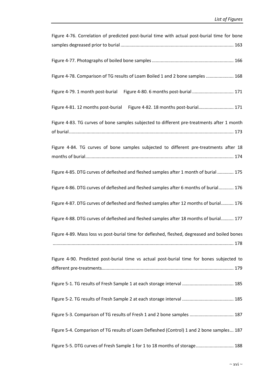| Figure 4-76. Correlation of predicted post-burial time with actual post-burial time for bone  |
|-----------------------------------------------------------------------------------------------|
|                                                                                               |
|                                                                                               |
| Figure 4-78. Comparison of TG results of Loam Boiled 1 and 2 bone samples  168                |
| Figure 4-79. 1 month post-burial                                                              |
| Figure 4-81. 12 months post-burial<br>Figure 4-82. 18 months post-burial 171                  |
| Figure 4-83. TG curves of bone samples subjected to different pre-treatments after 1 month    |
| Figure 4-84. TG curves of bone samples subjected to different pre-treatments after 18         |
| Figure 4-85. DTG curves of defleshed and fleshed samples after 1 month of burial  175         |
| Figure 4-86. DTG curves of defleshed and fleshed samples after 6 months of burial 176         |
| Figure 4-87. DTG curves of defleshed and fleshed samples after 12 months of burial 176        |
| Figure 4-88. DTG curves of defleshed and fleshed samples after 18 months of burial 177        |
| Figure 4-89. Mass loss vs post-burial time for defleshed, fleshed, degreased and boiled bones |
| Figure 4-90. Predicted post-burial time vs actual post-burial time for bones subjected to     |
|                                                                                               |
|                                                                                               |
| Figure 5-3. Comparison of TG results of Fresh 1 and 2 bone samples  187                       |
| Figure 5-4. Comparison of TG results of Loam Defleshed (Control) 1 and 2 bone samples 187     |
| Figure 5-5. DTG curves of Fresh Sample 1 for 1 to 18 months of storage 188                    |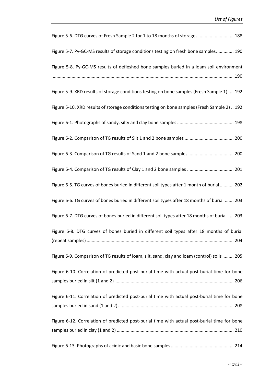| Figure 5-6. DTG curves of Fresh Sample 2 for 1 to 18 months of storage 188                    |
|-----------------------------------------------------------------------------------------------|
| Figure 5-7. Py-GC-MS results of storage conditions testing on fresh bone samples 190          |
| Figure 5-8. Py-GC-MS results of defleshed bone samples buried in a loam soil environment      |
|                                                                                               |
| Figure 5-9. XRD results of storage conditions testing on bone samples (Fresh Sample 1)  192   |
| Figure 5-10. XRD results of storage conditions testing on bone samples (Fresh Sample 2)  192  |
|                                                                                               |
|                                                                                               |
| Figure 6-3. Comparison of TG results of Sand 1 and 2 bone samples  200                        |
| Figure 6-4. Comparison of TG results of Clay 1 and 2 bone samples  201                        |
| Figure 6-5. TG curves of bones buried in different soil types after 1 month of burial 202     |
| Figure 6-6. TG curves of bones buried in different soil types after 18 months of burial  203  |
| Figure 6-7. DTG curves of bones buried in different soil types after 18 months of burial  203 |
| Figure 6-8. DTG curves of bones buried in different soil types after 18 months of burial      |
| Figure 6-9. Comparison of TG results of loam, silt, sand, clay and loam (control) soils  205  |
| Figure 6-10. Correlation of predicted post-burial time with actual post-burial time for bone  |
| Figure 6-11. Correlation of predicted post-burial time with actual post-burial time for bone  |
|                                                                                               |
| Figure 6-12. Correlation of predicted post-burial time with actual post-burial time for bone  |
|                                                                                               |
|                                                                                               |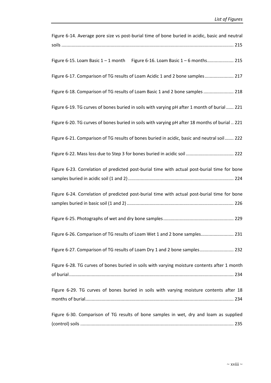| Figure 6-14. Average pore size vs post-burial time of bone buried in acidic, basic and neutral                                                                                                |
|-----------------------------------------------------------------------------------------------------------------------------------------------------------------------------------------------|
|                                                                                                                                                                                               |
| Figure 6-15. Loam Basic 1 - 1 month Figure 6-16. Loam Basic 1 - 6 months 215                                                                                                                  |
| Figure 6-17. Comparison of TG results of Loam Acidic 1 and 2 bone samples 217                                                                                                                 |
| Figure 6-18. Comparison of TG results of Loam Basic 1 and 2 bone samples  218                                                                                                                 |
| Figure 6-19. TG curves of bones buried in soils with varying pH after 1 month of burial  221                                                                                                  |
| Figure 6-20. TG curves of bones buried in soils with varying pH after 18 months of burial  221<br>Figure 6-21. Comparison of TG results of bones buried in acidic, basic and neutral soil 222 |
|                                                                                                                                                                                               |
| Figure 6-23. Correlation of predicted post-burial time with actual post-burial time for bone                                                                                                  |
|                                                                                                                                                                                               |
| Figure 6-24. Correlation of predicted post-burial time with actual post-burial time for bone                                                                                                  |
|                                                                                                                                                                                               |
| Figure 6-26. Comparison of TG results of Loam Wet 1 and 2 bone samples 231                                                                                                                    |
| Figure 6-27. Comparison of TG results of Loam Dry 1 and 2 bone samples 232                                                                                                                    |
| Figure 6-28. TG curves of bones buried in soils with varying moisture contents after 1 month                                                                                                  |
| Figure 6-29. TG curves of bones buried in soils with varying moisture contents after 18                                                                                                       |
| Figure 6-30. Comparison of TG results of bone samples in wet, dry and loam as supplied                                                                                                        |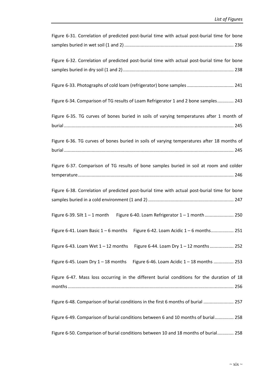| Figure 6-31. Correlation of predicted post-burial time with actual post-burial time for bone |
|----------------------------------------------------------------------------------------------|
|                                                                                              |
|                                                                                              |
| Figure 6-32. Correlation of predicted post-burial time with actual post-burial time for bone |
|                                                                                              |
|                                                                                              |
| Figure 6-33. Photographs of cold loam (refrigerator) bone samples  241                       |
|                                                                                              |
| Figure 6-34. Comparison of TG results of Loam Refrigerator 1 and 2 bone samples 243          |
|                                                                                              |
| Figure 6-35. TG curves of bones buried in soils of varying temperatures after 1 month of     |
|                                                                                              |
|                                                                                              |
| Figure 6-36. TG curves of bones buried in soils of varying temperatures after 18 months of   |
|                                                                                              |
| Figure 6-37. Comparison of TG results of bone samples buried in soil at room and colder      |
|                                                                                              |
|                                                                                              |
| Figure 6-38. Correlation of predicted post-burial time with actual post-burial time for bone |
|                                                                                              |
|                                                                                              |
| Figure 6-39. Silt 1 - 1 month Figure 6-40. Loam Refrigerator 1 - 1 month 250                 |
|                                                                                              |
| Figure 6-41. Loam Basic $1-6$ months<br>Figure 6-42. Loam Acidic 1 - 6 months 251            |
|                                                                                              |
| Figure 6-44. Loam Dry 1 - 12 months  252<br>Figure 6-43. Loam Wet $1 - 12$ months            |
|                                                                                              |
| Figure 6-46. Loam Acidic 1 - 18 months  253<br>Figure 6-45. Loam Dry $1 - 18$ months         |
|                                                                                              |
| Figure 6-47. Mass loss occurring in the different burial conditions for the duration of 18   |
|                                                                                              |
|                                                                                              |
| Figure 6-48. Comparison of burial conditions in the first 6 months of burial  257            |
|                                                                                              |
| Figure 6-49. Comparison of burial conditions between 6 and 10 months of burial 258           |
|                                                                                              |
| Figure 6-50. Comparison of burial conditions between 10 and 18 months of burial 258          |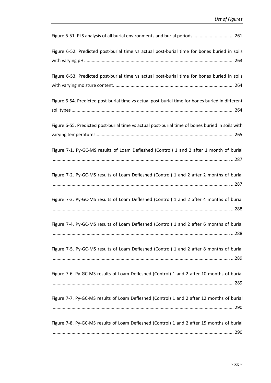| Figure 6-51. PLS analysis of all burial environments and burial periods  261                          |
|-------------------------------------------------------------------------------------------------------|
| Figure 6-52. Predicted post-burial time vs actual post-burial time for bones buried in soils          |
| Figure 6-53. Predicted post-burial time vs actual post-burial time for bones buried in soils          |
| Figure 6-54. Predicted post-burial time vs actual post-burial time for bones buried in different      |
| Figure 6-55. Predicted post-burial time vs actual post-burial time of bones buried in soils with      |
| Figure 7-1. Py-GC-MS results of Loam Defleshed (Control) 1 and 2 after 1 month of burial              |
| Figure 7-2. Py-GC-MS results of Loam Defleshed (Control) 1 and 2 after 2 months of burial             |
| Figure 7-3. Py-GC-MS results of Loam Defleshed (Control) 1 and 2 after 4 months of burial             |
| Figure 7-4. Py-GC-MS results of Loam Defleshed (Control) 1 and 2 after 6 months of burial<br>……………288 |
| Figure 7-5. Py-GC-MS results of Loam Defleshed (Control) 1 and 2 after 8 months of burial             |
| Figure 7-6. Py-GC-MS results of Loam Defleshed (Control) 1 and 2 after 10 months of burial            |
| Figure 7-7. Py-GC-MS results of Loam Defleshed (Control) 1 and 2 after 12 months of burial            |
| Figure 7-8. Py-GC-MS results of Loam Defleshed (Control) 1 and 2 after 15 months of burial            |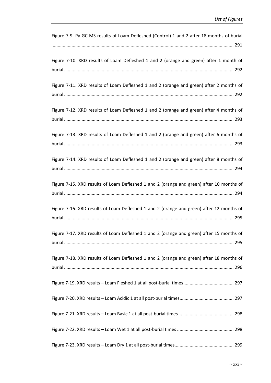| Figure 7-9. Py-GC-MS results of Loam Defleshed (Control) 1 and 2 after 18 months of burial |
|--------------------------------------------------------------------------------------------|
| Figure 7-10. XRD results of Loam Defleshed 1 and 2 (orange and green) after 1 month of     |
| Figure 7-11. XRD results of Loam Defleshed 1 and 2 (orange and green) after 2 months of    |
| Figure 7-12. XRD results of Loam Defleshed 1 and 2 (orange and green) after 4 months of    |
| Figure 7-13. XRD results of Loam Defleshed 1 and 2 (orange and green) after 6 months of    |
| Figure 7-14. XRD results of Loam Defleshed 1 and 2 (orange and green) after 8 months of    |
| Figure 7-15. XRD results of Loam Defleshed 1 and 2 (orange and green) after 10 months of   |
| Figure 7-16. XRD results of Loam Defleshed 1 and 2 (orange and green) after 12 months of   |
| Figure 7-17. XRD results of Loam Defleshed 1 and 2 (orange and green) after 15 months of   |
| Figure 7-18. XRD results of Loam Defleshed 1 and 2 (orange and green) after 18 months of   |
|                                                                                            |
|                                                                                            |
|                                                                                            |
|                                                                                            |
|                                                                                            |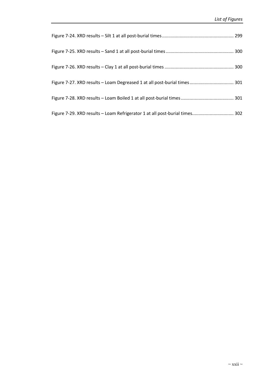| Figure 7-29. XRD results - Loam Refrigerator 1 at all post-burial times 302 |  |
|-----------------------------------------------------------------------------|--|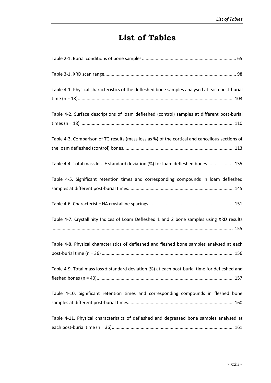# **List of Tables**

| Table 4-1. Physical characteristics of the defleshed bone samples analysed at each post-burial  |
|-------------------------------------------------------------------------------------------------|
|                                                                                                 |
| Table 4-2. Surface descriptions of loam defleshed (control) samples at different post-burial    |
|                                                                                                 |
| Table 4-3. Comparison of TG results (mass loss as %) of the cortical and cancellous sections of |
|                                                                                                 |
| Table 4-4. Total mass loss ± standard deviation (%) for loam defleshed bones 135                |
| Table 4-5. Significant retention times and corresponding compounds in loam defleshed            |
|                                                                                                 |
|                                                                                                 |
| Table 4-7. Crystallinity Indices of Loam Defleshed 1 and 2 bone samples using XRD results       |
|                                                                                                 |
| Table 4-8. Physical characteristics of defleshed and fleshed bone samples analysed at each      |
|                                                                                                 |
| Table 4-9. Total mass loss ± standard deviation (%) at each post-burial time for defleshed and  |
|                                                                                                 |
| Table 4-10. Significant retention times and corresponding compounds in fleshed bone             |
|                                                                                                 |
| Table 4-11. Physical characteristics of defleshed and degreased bone samples analysed at        |
|                                                                                                 |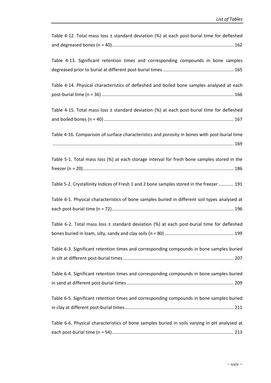| Table 4-12. Total mass loss $\pm$ standard deviation (%) at each post-burial time for defleshed |
|-------------------------------------------------------------------------------------------------|
|                                                                                                 |
| Table 4-13. Significant retention times and corresponding compounds in bone samples             |
|                                                                                                 |
| Table 4-14. Physical characteristics of defleshed and boiled bone samples analysed at each      |
|                                                                                                 |
| Table 4-15. Total mass loss ± standard deviation (%) at each post-burial time for defleshed     |
|                                                                                                 |
| Table 4-16. Comparison of surface characteristics and porosity in bones with post-burial time   |
|                                                                                                 |
| Table 5-1. Total mass loss (%) at each storage interval for fresh bone samples stored in the    |
|                                                                                                 |
| Table 5-2. Crystallinity Indices of Fresh 1 and 2 bone samples stored in the freezer  191       |
| Table 6-1. Physical characteristics of bone samples buried in different soil types analysed at  |
|                                                                                                 |
| Table 6-2. Total mass loss $\pm$ standard deviation (%) at each post-burial time for defleshed  |
|                                                                                                 |
| Table 6-3. Significant retention times and corresponding compounds in bone samples buried       |
|                                                                                                 |
| Table 6-4. Significant retention times and corresponding compounds in bone samples buried       |
|                                                                                                 |
| Table 6-5. Significant retention times and corresponding compounds in bone samples buried       |
|                                                                                                 |
| Table 6-6. Physical characteristics of bone samples buried in soils varying in pH analysed at   |
|                                                                                                 |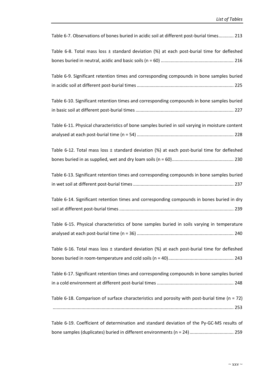| Table 6-7. Observations of bones buried in acidic soil at different post-burial times 213         |
|---------------------------------------------------------------------------------------------------|
| Table 6-8. Total mass loss ± standard deviation (%) at each post-burial time for defleshed        |
|                                                                                                   |
| Table 6-9. Significant retention times and corresponding compounds in bone samples buried         |
|                                                                                                   |
| Table 6-10. Significant retention times and corresponding compounds in bone samples buried        |
|                                                                                                   |
| Table 6-11. Physical characteristics of bone samples buried in soil varying in moisture content   |
| Table 6-12. Total mass loss $\pm$ standard deviation (%) at each post-burial time for defleshed   |
|                                                                                                   |
| Table 6-13. Significant retention times and corresponding compounds in bone samples buried        |
|                                                                                                   |
| Table 6-14. Significant retention times and corresponding compounds in bones buried in dry        |
|                                                                                                   |
| Table 6-15. Physical characteristics of bone samples buried in soils varying in temperature       |
|                                                                                                   |
| Table 6-16. Total mass loss $\pm$ standard deviation (%) at each post-burial time for defleshed   |
|                                                                                                   |
| Table 6-17. Significant retention times and corresponding compounds in bone samples buried        |
| Table 6-18. Comparison of surface characteristics and porosity with post-burial time ( $n = 72$ ) |
|                                                                                                   |
| Table 6-19. Coefficient of determination and standard deviation of the Py-GC-MS results of        |
| bone samples (duplicates) buried in different environments (n = 24)  259                          |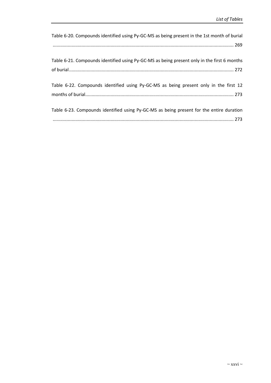| Table 6-20. Compounds identified using Py-GC-MS as being present in the 1st month of burial |
|---------------------------------------------------------------------------------------------|
|                                                                                             |
|                                                                                             |
| Table 6-21. Compounds identified using Py-GC-MS as being present only in the first 6 months |
|                                                                                             |
|                                                                                             |
| Table 6-22. Compounds identified using Py-GC-MS as being present only in the first 12       |
|                                                                                             |
|                                                                                             |
| Table 6-23. Compounds identified using Py-GC-MS as being present for the entire duration    |
|                                                                                             |
|                                                                                             |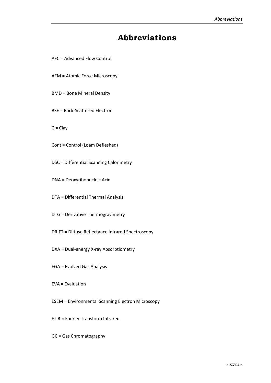### **Abbreviations**

- AFC = Advanced Flow Control
- AFM = Atomic Force Microscopy
- BMD = Bone Mineral Density
- BSE = Back-Scattered Electron
- $C = Clay$
- Cont = Control (Loam Defleshed)
- DSC = Differential Scanning Calorimetry
- DNA = Deoxyribonucleic Acid
- DTA = Differential Thermal Analysis
- DTG = Derivative Thermogravimetry
- DRIFT = Diffuse Reflectance Infrared Spectroscopy
- DXA = Dual-energy X-ray Absorptiometry
- EGA = Evolved Gas Analysis
- EVA = Evaluation
- ESEM = Environmental Scanning Electron Microscopy
- FTIR = Fourier Transform Infrared
- GC = Gas Chromatography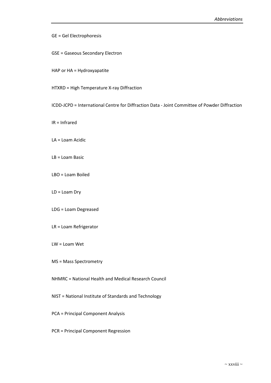#### GE = Gel Electrophoresis

- GSE = Gaseous Secondary Electron
- HAP or HA = Hydroxyapatite
- HTXRD = High Temperature X-ray Diffraction
- ICDD-JCPD = International Centre for Diffraction Data Joint Committee of Powder Diffraction
- IR = Infrared
- LA = Loam Acidic
- LB = Loam Basic
- LBO = Loam Boiled
- LD = Loam Dry
- LDG = Loam Degreased
- LR = Loam Refrigerator
- LW = Loam Wet
- MS = Mass Spectrometry
- NHMRC = National Health and Medical Research Council
- NIST = National Institute of Standards and Technology
- PCA = Principal Component Analysis
- PCR = Principal Component Regression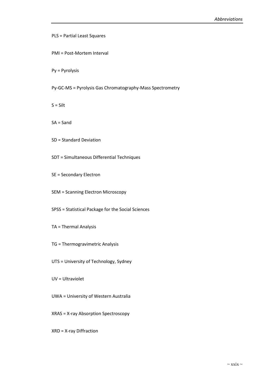PLS = Partial Least Squares

PMI = Post-Mortem Interval

Py = Pyrolysis

Py-GC-MS = Pyrolysis Gas Chromatography-Mass Spectrometry

 $S = Silt$ 

SA = Sand

SD = Standard Deviation

SDT = Simultaneous Differential Techniques

SE = Secondary Electron

SEM = Scanning Electron Microscopy

SPSS = Statistical Package for the Social Sciences

TA = Thermal Analysis

TG = Thermogravimetric Analysis

UTS = University of Technology, Sydney

UV = Ultraviolet

UWA = University of Western Australia

XRAS = X-ray Absorption Spectroscopy

XRD = X-ray Diffraction